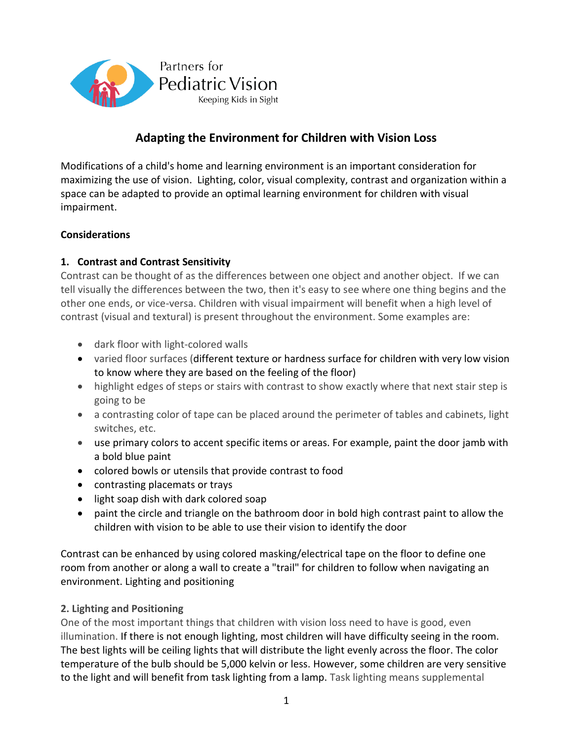

# **Adapting the Environment for Children with Vision Loss**

Modifications of a child's home and learning environment is an important consideration for maximizing the use of vision. Lighting, color, visual complexity, contrast and organization within a space can be adapted to provide an optimal learning environment for children with visual impairment.

#### **Considerations**

## **1. Contrast and Contrast Sensitivity**

Contrast can be thought of as the differences between one object and another object. If we can tell visually the differences between the two, then it's easy to see where one thing begins and the other one ends, or vice-versa. Children with visual impairment will benefit when a high level of contrast (visual and textural) is present throughout the environment. Some examples are:

- dark floor with light-colored walls
- varied floor surfaces (different texture or hardness surface for children with very low vision to know where they are based on the feeling of the floor)
- highlight edges of steps or stairs with contrast to show exactly where that next stair step is going to be
- a contrasting color of tape can be placed around the perimeter of tables and cabinets, light switches, etc.
- use primary colors to accent specific items or areas. For example, paint the door jamb with a bold blue paint
- colored bowls or utensils that provide contrast to food
- contrasting placemats or trays
- light soap dish with dark colored soap
- paint the circle and triangle on the bathroom door in bold high contrast paint to allow the children with vision to be able to use their vision to identify the door

Contrast can be enhanced by using colored masking/electrical tape on the floor to define one room from another or along a wall to create a "trail" for children to follow when navigating an environment. Lighting and positioning

#### **2. Lighting and Positioning**

One of the most important things that children with vision loss need to have is good, even illumination. If there is not enough lighting, most children will have difficulty seeing in the room. The best lights will be ceiling lights that will distribute the light evenly across the floor. The color temperature of the bulb should be 5,000 kelvin or less. However, some children are very sensitive to the light and will benefit from task lighting from a lamp. Task lighting means supplemental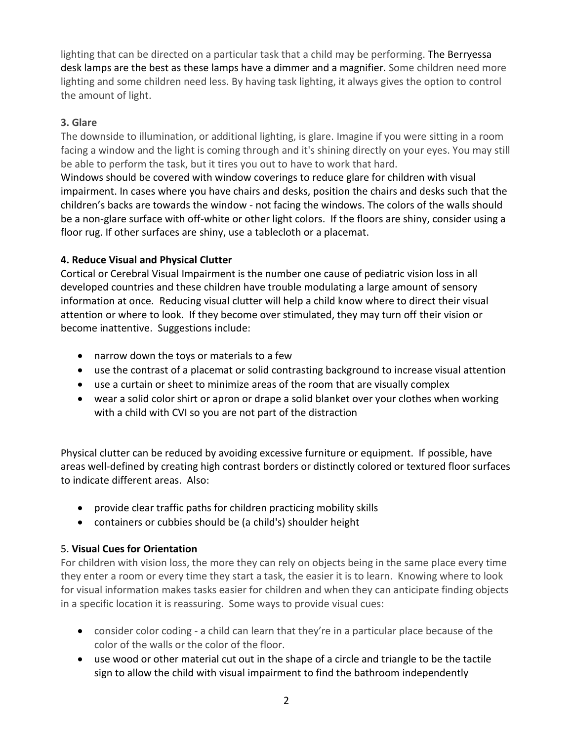lighting that can be directed on a particular task that a child may be performing. The Berryessa desk lamps are the best as these lamps have a dimmer and a magnifier. Some children need more lighting and some children need less. By having task lighting, it always gives the option to control the amount of light.

## **3. Glare**

The downside to illumination, or additional lighting, is glare. Imagine if you were sitting in a room facing a window and the light is coming through and it's shining directly on your eyes. You may still be able to perform the task, but it tires you out to have to work that hard.

Windows should be covered with window coverings to reduce glare for children with visual impairment. In cases where you have chairs and desks, position the chairs and desks such that the children's backs are towards the window - not facing the windows. The colors of the walls should be a non-glare surface with off-white or other light colors. If the floors are shiny, consider using a floor rug. If other surfaces are shiny, use a tablecloth or a placemat.

# **4. Reduce Visual and Physical Clutter**

Cortical or Cerebral Visual Impairment is the number one cause of pediatric vision loss in all developed countries and these children have trouble modulating a large amount of sensory information at once. Reducing visual clutter will help a child know where to direct their visual attention or where to look. If they become over stimulated, they may turn off their vision or become inattentive. Suggestions include:

- narrow down the toys or materials to a few
- use the contrast of a placemat or solid contrasting background to increase visual attention
- use a curtain or sheet to minimize areas of the room that are visually complex
- wear a solid color shirt or apron or drape a solid blanket over your clothes when working with a child with CVI so you are not part of the distraction

Physical clutter can be reduced by avoiding excessive furniture or equipment. If possible, have areas well-defined by creating high contrast borders or distinctly colored or textured floor surfaces to indicate different areas. Also:

- provide clear traffic paths for children practicing mobility skills
- containers or cubbies should be (a child's) shoulder height

# 5. **Visual Cues for Orientation**

For children with vision loss, the more they can rely on objects being in the same place every time they enter a room or every time they start a task, the easier it is to learn. Knowing where to look for visual information makes tasks easier for children and when they can anticipate finding objects in a specific location it is reassuring. Some ways to provide visual cues:

- consider color coding a child can learn that they're in a particular place because of the color of the walls or the color of the floor.
- use wood or other material cut out in the shape of a circle and triangle to be the tactile sign to allow the child with visual impairment to find the bathroom independently